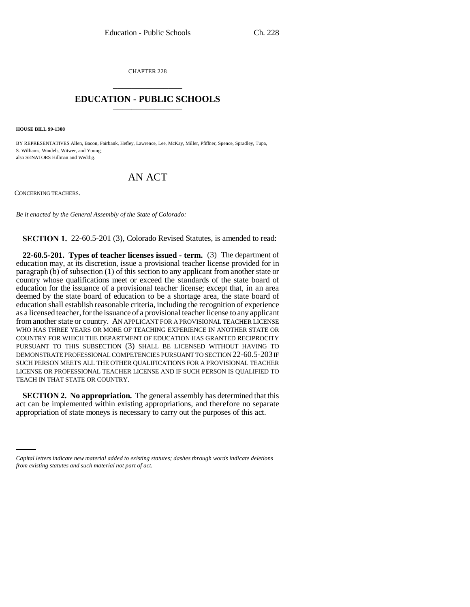CHAPTER 228 \_\_\_\_\_\_\_\_\_\_\_\_\_\_\_

## **EDUCATION - PUBLIC SCHOOLS** \_\_\_\_\_\_\_\_\_\_\_\_\_\_\_

**HOUSE BILL 99-1308**

BY REPRESENTATIVES Allen, Bacon, Fairbank, Hefley, Lawrence, Lee, McKay, Miller, Pfiffner, Spence, Spradley, Tupa, S. Williams, Windels, Witwer, and Young; also SENATORS Hillman and Weddig.

## AN ACT

CONCERNING TEACHERS.

*Be it enacted by the General Assembly of the State of Colorado:*

**SECTION 1.** 22-60.5-201 (3), Colorado Revised Statutes, is amended to read:

**22-60.5-201. Types of teacher licenses issued - term.** (3) The department of education may, at its discretion, issue a provisional teacher license provided for in paragraph (b) of subsection (1) of this section to any applicant from another state or country whose qualifications meet or exceed the standards of the state board of education for the issuance of a provisional teacher license; except that, in an area deemed by the state board of education to be a shortage area, the state board of education shall establish reasonable criteria, including the recognition of experience as a licensed teacher, for the issuance of a provisional teacher license to any applicant from another state or country. AN APPLICANT FOR A PROVISIONAL TEACHER LICENSE WHO HAS THREE YEARS OR MORE OF TEACHING EXPERIENCE IN ANOTHER STATE OR COUNTRY FOR WHICH THE DEPARTMENT OF EDUCATION HAS GRANTED RECIPROCITY PURSUANT TO THIS SUBSECTION (3) SHALL BE LICENSED WITHOUT HAVING TO DEMONSTRATE PROFESSIONAL COMPETENCIES PURSUANT TO SECTION 22-60.5-203 IF SUCH PERSON MEETS ALL THE OTHER QUALIFICATIONS FOR A PROVISIONAL TEACHER LICENSE OR PROFESSIONAL TEACHER LICENSE AND IF SUCH PERSON IS QUALIFIED TO TEACH IN THAT STATE OR COUNTRY.

appropriation of state moneys is necessary to carry out the purposes of this act.**SECTION 2. No appropriation.** The general assembly has determined that this act can be implemented within existing appropriations, and therefore no separate

*Capital letters indicate new material added to existing statutes; dashes through words indicate deletions from existing statutes and such material not part of act.*